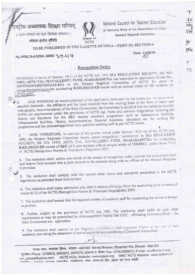ष्टीय अध्यापक शिक्षा परिषद



National Council for Teacher Education (A Statutory Body of the Government of India) Western Regional Committee

( भारत सरकार का एक विधिक संस्थान)

No.WRC/5-6/105th /2008/ 39417

पश्चिम क्षेत्रीय समिति

TO BE PUBLISHED IN THE GAZETTE OF INDIA - PART-III, SECTION-4

Date: 14/08/08  $50$ 

## Recognition Order

WHEREAS in terms of Section 14(1) of the NCTE Act. 1993 IRA EDUCATION SOCIETY, SR. NO. 149/2, ARVI, TAL. HAVALI, DIST: PUNE, MAHARASHTRA has submitted an application (Code No.-APW05409/123670(M)CO-ED) to the Western Regional Committee of NCTE for grant of recognition/permission-for conducting B.ED.(M)CO-ED course with an annual intake of 100 students on  $17-01-2007$ 

AND WHEREAS on scrutiny/perusal of the application submitted by the institution, the documents attached therewith, the affidavit and the input received from the visiting team in the form of report and  $\overline{2}$ . videography, recommendation of the State Government, the Committee is satisfied that the institution/society fulfills the requirements under the provisions of NCTE Act, Rules and relevant Regulations including the Norms and Standards for the SEC teacher education programme such as instructional facilities, infrastructural facilities, library, accommodation, financial resources, laboratory etc. for running the programme and has selected/appointed duly qualified teaching staff as per NCTE norms.

NOW, THEREFORE, in exercise of the powers vested under Section 14(3) (a) of the NCTE Act. 1993, the Western Regional Committee hereby grants recognition / permission to IRA EDUCATION  $3.$ SOCIETY, SR. NO. 149/2, ARVI, TAL. HAVALI, DIST: PUNE, MAHARASHTRA for conducting B.ED.(M)CO-ED course of SEC of 1 year duration with an annual intake of 100(SEC) under clause 7(11) of NCTE(Recognition Norms & Procedure) Regulation 2007.

4. The institution shall, within one month of the receipt of recognition order, convert the endowment fund and reserve fund account into a joint account to be operated along with an officer of the Western Regional Committee.

5. The institution shall comply with the various other norms and standards prescribed in the NCTE regulations, as amended from time to time.

6. The institution shall make admission only after it obtains affiliation from the examining body in terms of clause 8(12) of the NCTE (Recognition Norms & Procedure) Regulations, 2007.

7. The institution shall ensure that the required number of academic staff for conducting the course is always in position.

8. Further, subject to the provision of NCTE Act 1993, The institution shall fulfill all such other requirements as may be prescribed by other regulatory bodies like UGC, affiliating University/Body, the State Government etc. applicable.

9. The institution shall submit to the Regional Committee a Self-Appraisal Report at the end of each academic year along the statement of annual accounts duly audited by a Chartered Accountant.

मानस भवन, श्यामला हिल्स, भोपाल - 462 002 Manas Bhawan, Shyamla Hills, Bhopal - 462 002 टूरभाष / Phone : 2739672, 2660372, 2660379, 2660915 फेक्स / Fax : 0755∗2660912, E-mail : wrc@ncte-in.org, NCTE HQrs. Website: www.ncte-in.org WRC NCTE Website: www.nctewrc.in wrc\_bhopal@yahoo.com mennan tambung that cunstra da arev va niv gach

lœg  $\overline{1}$  $\overline{Hlo}$  $24$ 

 $\ddagger \varepsilon$